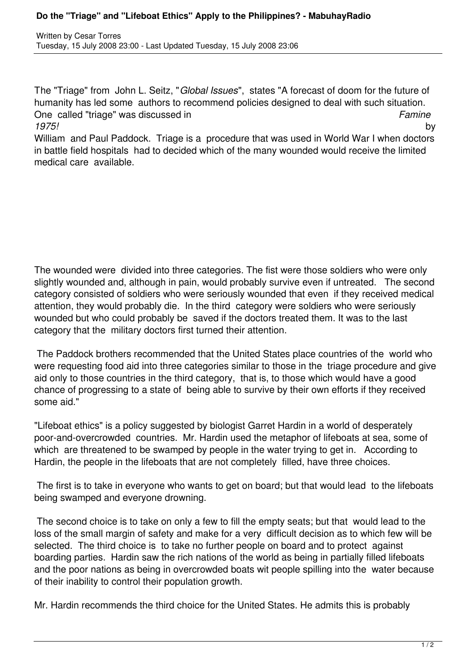The "Triage" from John L. Seitz, "*Global Issues*", states "A forecast of doom for the future of humanity has led some authors to recommend policies designed to deal with such situation. One called "triage" was discussed in *Famine 1975!* by

William and Paul Paddock. Triage is a procedure that was used in World War I when doctors in battle field hospitals had to decided which of the many wounded would receive the limited medical care available.

The wounded were divided into three categories. The fist were those soldiers who were only slightly wounded and, although in pain, would probably survive even if untreated. The second category consisted of soldiers who were seriously wounded that even if they received medical attention, they would probably die. In the third category were soldiers who were seriously wounded but who could probably be saved if the doctors treated them. It was to the last category that the military doctors first turned their attention.

 The Paddock brothers recommended that the United States place countries of the world who were requesting food aid into three categories similar to those in the triage procedure and give aid only to those countries in the third category, that is, to those which would have a good chance of progressing to a state of being able to survive by their own efforts if they received some aid."

"Lifeboat ethics" is a policy suggested by biologist Garret Hardin in a world of desperately poor-and-overcrowded countries. Mr. Hardin used the metaphor of lifeboats at sea, some of which are threatened to be swamped by people in the water trying to get in. According to Hardin, the people in the lifeboats that are not completely filled, have three choices.

 The first is to take in everyone who wants to get on board; but that would lead to the lifeboats being swamped and everyone drowning.

 The second choice is to take on only a few to fill the empty seats; but that would lead to the loss of the small margin of safety and make for a very difficult decision as to which few will be selected. The third choice is to take no further people on board and to protect against boarding parties. Hardin saw the rich nations of the world as being in partially filled lifeboats and the poor nations as being in overcrowded boats wit people spilling into the water because of their inability to control their population growth.

Mr. Hardin recommends the third choice for the United States. He admits this is probably